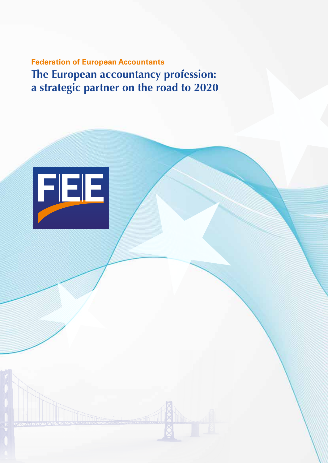**Federation of European Accountants The European accountancy profession: a strategic partner on the road to 2020**

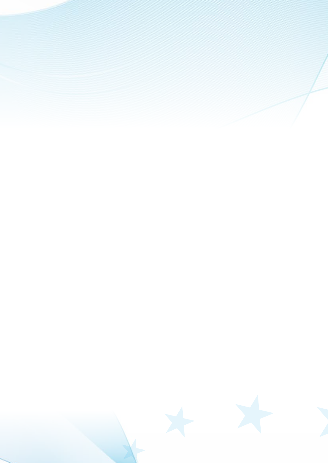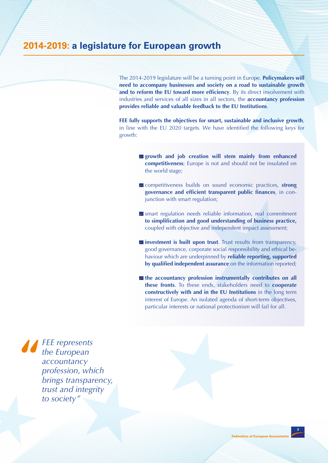## **2014-2019: a legislature for European growth**

The 2014-2019 legislature will be a turning point in Europe. **Policymakers will need to accompany businesses and society on a road to sustainable growth and to reform the EU toward more efficiency**. By its direct involvement with industries and services of all sizes in all sectors, the **accountancy profession provides reliable and valuable feedback to the EU Institutions**.

**FEE fully supports the objectives for smart, sustainable and inclusive growth**, in line with the EU 2020 targets. We have identified the following keys for growth:

- $\blacksquare$  growth and job creation will stem mainly from enhanced **competitiveness**; Europe is not and should not be insulated on the world stage;
- competitiveness builds on sound economic practices, **strong governance and efficient transparent public finances**, in conjunction with smart regulation;
- smart regulation needs reliable information, real commitment **to simplification and good understanding of business practice,**  coupled with objective and independent impact assessment;
- *investment is built upon trust. Trust results from transparency,* good governance, corporate social responsibility and ethical behaviour which are underpinned by **reliable reporting, supported by qualified independent assurance** on the information reported;
- **Example 1** the accountancy profession instrumentally contributes on all **these fronts**. To these ends, stakeholders need to **cooperate constructively with and in the EU Institutions** in the long term interest of Europe. An isolated agenda of short-term objectives, particular interests or national protectionism will fail for all.

*FEE represents the European accountancy profession, which brings transparency, trust and integrity to society"*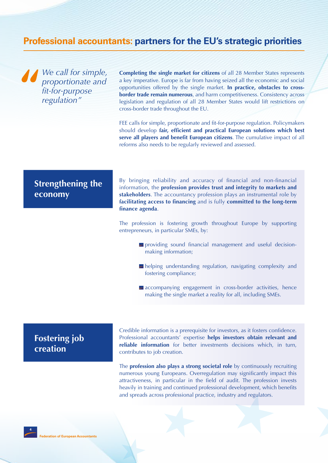### **Professional accountants: partners for the EU's strategic priorities**

*We call for simple, proportionate and fit-for-purpose regulation"*

**Completing the single market for citizens** of all 28 Member States represents a key imperative. Europe is far from having seized all the economic and social opportunities offered by the single market. **In practice, obstacles to crossborder trade remain numerous**, and harm competitiveness. Consistency across legislation and regulation of all 28 Member States would lift restrictions on cross-border trade throughout the EU.

FEE calls for simple, proportionate and fit-for-purpose regulation. Policymakers should develop **fair, efficient and practical European solutions which best serve all players and benefit European citizens**. The cumulative impact of all reforms also needs to be regularly reviewed and assessed.

## **Strengthening the economy**

By bringing reliability and accuracy of financial and non-financial information, the **profession provides trust and integrity to markets and stakeholders**. The accountancy profession plays an instrumental role by **facilitating access to financing** and is fully **committed to the long-term finance agenda**.

The profession is fostering growth throughout Europe by supporting entrepreneurs, in particular SMEs, by:

- $\blacksquare$  providing sound financial management and useful decisionmaking information;
- helping understanding regulation, navigating complexity and fostering compliance;
- accompanying engagement in cross-border activities, hence making the single market a reality for all, including SMEs.

## **Fostering job creation**

Credible information is a prerequisite for investors, as it fosters confidence. Professional accountants' expertise **helps investors obtain relevant and reliable information** for better investments decisions which, in turn, contributes to job creation.

The **profession also plays a strong societal role** by continuously recruiting numerous young Europeans. Overregulation may significantly impact this attractiveness, in particular in the field of audit. The profession invests heavily in training and continued professional development, which benefits and spreads across professional practice, industry and regulators.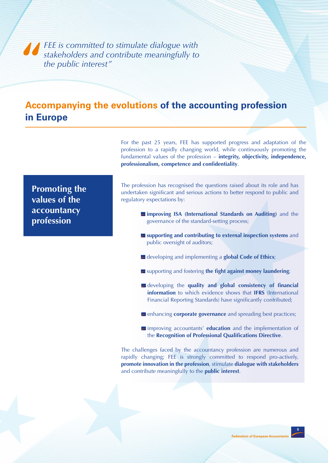*FEE is committed to stimulate dialogue with stakeholders and contribute meaningfully to the public interest"*

# **Accompanying the evolutions of the accounting profession in Europe**

For the past 25 years, FEE has supported progress and adaptation of the profession to a rapidly changing world, while continuously promoting the fundamental values of the profession – **integrity, objectivity, independence, professionalism, competence and confidentiality**.

**Promoting the values of the accountancy profession**

The profession has recognised the questions raised about its role and has undertaken significant and serious actions to better respond to public and regulatory expectations by:

- **improving ISA (International Standards on Auditing)** and the governance of the standard-setting process;
- **supporting and contributing to external inspection systems** and public oversight of auditors;
- developing and implementing a **global Code of Ethics**;
- supporting and fostering **the fight against money laundering**;
- developing the **quality and global consistency of financial information** to which evidence shows that **IFRS** (International Financial Reporting Standards) have significantly contributed;
- **E** enhancing **corporate governance** and spreading best practices;
- improving accountants' **education** and the implementation of the **Recognition of Professional Qualifications Directive**.

The challenges faced by the accountancy profession are numerous and rapidly changing; FEE is strongly committed to respond pro-actively, **promote innovation in the profession**, stimulate **dialogue with stakeholders** and contribute meaningfully to the **public interest**.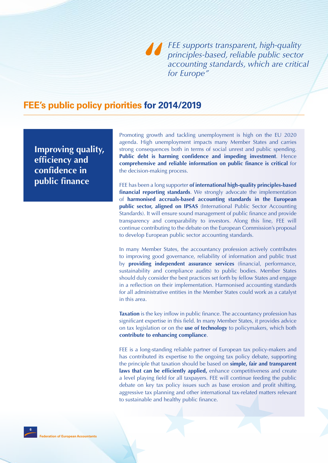*FEE supports transparent, high-quality principles-based, reliable public sector accounting standards, which are critical for Europe"* 

#### **FEE's public policy priorities for 2014/2019**

**Improving quality, efficiency and confidence in public finance**

Promoting growth and tackling unemployment is high on the EU 2020 agenda. High unemployment impacts many Member States and carries strong consequences both in terms of social unrest and public spending. **Public debt is harming confidence and impeding investment**. Hence **comprehensive and reliable information on public finance is critical** for the decision-making process.

FEE has been a long supporter **of international high-quality principles-based financial reporting standards**. We strongly advocate the implementation of **harmonised accruals-based accounting standards in the European public sector, aligned on IPSAS** (International Public Sector Accounting Standards). It will ensure sound management of public finance and provide transparency and comparability to investors. Along this line, FEE will continue contributing to the debate on the European Commission's proposal to develop European public sector accounting standards.

In many Member States, the accountancy profession actively contributes to improving good governance, reliability of information and public trust by **providing independent assurance services** (financial, performance, sustainability and compliance audits) to public bodies. Member States should duly consider the best practices set forth by fellow States and engage in a reflection on their implementation. Harmonised accounting standards for all administrative entities in the Member States could work as a catalyst in this area.

**Taxation** is the key inflow in public finance. The accountancy profession has significant expertise in this field. In many Member States, it provides advice on tax legislation or on the **use of technology** to policymakers, which both **contribute to enhancing compliance**.

FEE is a long-standing reliable partner of European tax policy-makers and has contributed its expertise to the ongoing tax policy debate, supporting the principle that taxation should be based on **simple, fair and transparent**  laws that can be efficiently applied, enhance competitiveness and create a level playing field for all taxpayers. FEE will continue feeding the public debate on key tax policy issues such as base erosion and profit shifting, aggressive tax planning and other international tax-related matters relevant to sustainable and healthy public finance.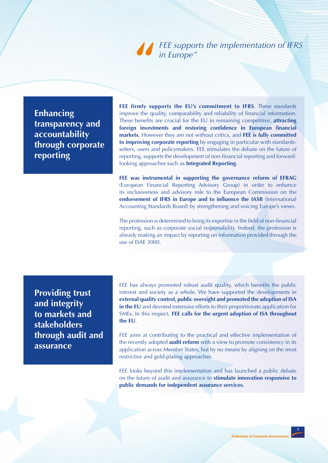### *FEE supports the implementation of IFRS in Europe"*

**Enhancing transparency and accountability through corporate reporting**

**FEE firmly supports the EU's commitment to IFRS**. These standards improve the quality, comparability and reliability of financial information. These benefits are crucial for the EU in remaining competitive, **attracting foreign investments and restoring confidence in European financial markets.** However they are not without critics, and **FEE is fully committed to improving corporate reporting** by engaging in particular with standardssetters, users and policymakers. FEE stimulates the debate on the future of reporting, supports the development of non-financial reporting and forwardlooking approaches such as **Integrated Reporting**.

**FEE was instrumental in supporting the governance reform of EFRAG** (European Financial Reporting Advisory Group) in order to enhance its inclusiveness and advisory role to the European Commission on the **endorsement of IFRS in Europe and to influence the IASB** (International Accounting Standards Board) by strengthening and voicing Europe's views.

The profession is determined to bring its expertise in the field of non-financial reporting, such as corporate social responsibility. Indeed, the profession is already making an impact by reporting on information provided through the use of ISAE 3000.

**Providing trust and integrity to markets and stakeholders through audit and assurance**

FEE has always promoted robust audit quality, which benefits the public interest and society as a whole. We have supported the developments in **external quality control, public oversight and promoted the adoption of ISA in the EU** and devoted extensive efforts to their proportionate application for SMEs. In this respect, **FEE calls for the urgent adoption of ISA throughout the EU**.

FEE aims at contributing to the practical and effective implementation of the recently adopted **audit reform** with a view to promote consistency in its application across Member States, but by no means by aligning on the most restrictive and gold-plating approaches.

FEE looks beyond this implementation and has launched a public debate on the future of audit and assurance to **stimulate innovation responsive to public demands for independent assurance services.**